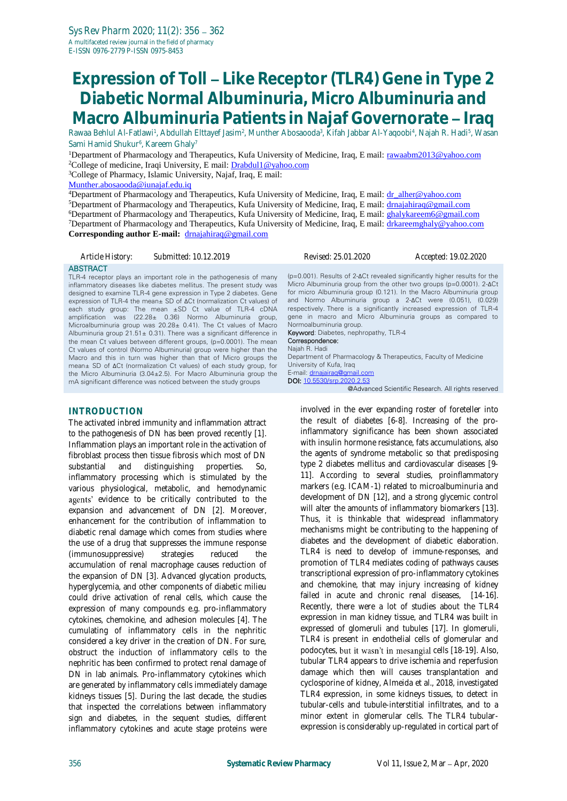# **Expression of Toll Like Receptor (TLR4) Gene in Type 2 Diabetic Normal Albuminuria, Micro Albuminuria and**  Macro Albuminuria Patients in Najaf Governorate - Iraq

Rawaa Behlul Al-Fatlawi<sup>1</sup>, Abdullah Elttayef Jasim<sup>2</sup>, Munther Abosaooda<sup>3</sup>, Kifah Jabbar Al-Yaqoobi<sup>4</sup>, Najah R. Hadi<sup>5</sup>, Wasan Sami Hamid Shukur<sup>6</sup>, Kareem Ghaly<sup>7</sup>

<sup>1</sup>Department of Pharmacology and Therapeutics, Kufa University of Medicine, Iraq, E mail: [rawaabm2013@yahoo.com](mailto:rawaabm2013@yahoo.com) <sup>2</sup>College of medicine, Iraqi University, E mail: **Drabdul1@yahoo.com** 

<sup>3</sup>College of Pharmacy, Islamic University, Najaf, Iraq, E mail:

[Munther.abosaooda@iunajaf.edu.iq](mailto:Munther.abosaooda@iunajaf.edu.iq)

<sup>4</sup>Department of Pharmacology and Therapeutics, Kufa University of Medicine, Iraq, E mail: [dr\\_alher@yahoo.com](mailto:dr_alher@yahoo.com) <sup>5</sup>Department of Pharmacology and Therapeutics, Kufa University of Medicine, Iraq, E mail: [drnajahiraq@gmail.com](mailto:drnajahiraq@gmail.com) <sup>6</sup>Department of Pharmacology and Therapeutics, Kufa University of Medicine, Iraq, E mail: **[ghalykareem6@gmail.com](mailto:ghalykareem6@gmail.com)** <sup>7</sup>Department of Pharmacology and Therapeutics, Kufa University of Medicine, Iraq, E mail: [drkareemghaly@yahoo.com](mailto:drkareemghaly@yahoo.com) **Corresponding author E-mail:** [drnajahiraq@gmail.com](mailto:drnajahiraq@gmail.com)

#### *Article History: Submitted: 10.12.2019 Revised: 25.01.2020 Accepted: 19.02.2020*

#### **ABSTRACT**

TLR-4 receptor plays an important role in the pathogenesis of many inflammatory diseases like diabetes mellitus. The present study was designed to examine TLR-4 gene expression in Type 2 diabetes. Gene expression of TLR-4 the mean± SD of ΔCt (normalization Ct values) of each study group: The mean ±SD Ct value of TLR-4 cDNA amplification was (22.28± 0.36) Normo Albuminuria group, Microalbuminuria group was 20.28± 0.41). The Ct values of Macro Albuminuria group  $21.51 \pm 0.31$ ). There was a significant difference in the mean Ct values between different groups, (p=0.0001). The mean Ct values of control (Normo Albuminuria) group were higher than the Macro and this in turn was higher than that of Micro groups the mean± SD of ΔCt (normalization Ct values) of each study group, for the Micro Albuminuria (3.04±2.5). For Macro Albuminuria group the mA significant difference was noticed between the study groups

#### **INTRODUCTION**

The activated inbred immunity and inflammation attract to the pathogenesis of DN has been proved recently [1]. Inflammation plays an important role in the activation of fibroblast process then tissue fibrosis which most of DN substantial and distinguishing properties. So, inflammatory processing which is stimulated by the various physiological, metabolic, and hemodynamic agents' evidence to be critically contributed to the expansion and advancement of DN [2]. Moreover, enhancement for the contribution of inflammation to diabetic renal damage which comes from studies where the use of a drug that suppresses the immune response (immunosuppressive) strategies reduced the accumulation of renal macrophage causes reduction of the expansion of DN [3]. Advanced glycation products, hyperglycemia, and other components of diabetic milieu could drive activation of renal cells, which cause the expression of many compounds e.g. pro-inflammatory cytokines, chemokine, and adhesion molecules [4]. The cumulating of inflammatory cells in the nephritic considered a key driver in the creation of DN. For sure, obstruct the induction of inflammatory cells to the nephritic has been confirmed to protect renal damage of DN in lab animals. Pro-inflammatory cytokines which are generated by inflammatory cells immediately damage kidneys tissues [5]. During the last decade, the studies that inspected the correlations between inflammatory sign and diabetes, in the sequent studies, different inflammatory cytokines and acute stage proteins were (p=0.001). Results of 2-ΔCt revealed significantly higher results for the Micro Albuminuria group from the other two groups (p=0.0001). 2-ΔCt for micro Albuminuria group (0.121). In the Macro Albuminuria group and Normo Albuminuria group a 2-ΔCt were (0.051), (0.029) respectively. There is a significantly increased expression of TLR-4 gene in macro and Micro Albuminuria groups as compared to Normoalbuminuria group. Keyword: Diabetes, nephropathy, TLR-4 Correspondence: Najah R. Hadi Department of Pharmacology & Therapeutics, Faculty of Medicine University of Kufa, Iraq E-mail: [drnajairaq@gmail.com](mailto:drnajairaq@gmail.com) DOI[: 10.5530/srp.2020.2.53](http://dx.doi.org/10.5530/srp.2019.2.04) @Advanced Scientific Research. All rights reserved

involved in the ever expanding roster of foreteller into the result of diabetes [6-8]. Increasing of the proinflammatory significance has been shown associated with insulin hormone resistance, fats accumulations, also the agents of syndrome metabolic so that predisposing type 2 diabetes mellitus and cardiovascular diseases [9- 11]. According to several studies, proinflammatory markers (e.g. ICAM-1) related to microalbuminuria and development of DN [12], and a strong glycemic control will alter the amounts of inflammatory biomarkers [13]. Thus, it is thinkable that widespread inflammatory mechanisms might be contributing to the happening of diabetes and the development of diabetic elaboration. TLR4 is need to develop of immune-responses, and promotion of TLR4 mediates coding of pathways causes transcriptional expression of pro-inflammatory cytokines and chemokine, that may injury increasing of kidney failed in acute and chronic renal diseases, [14-16]. Recently, there were a lot of studies about the TLR4 expression in man kidney tissue, and TLR4 was built in expressed of glomeruli and tubules [17]. In glomeruli, TLR4 is present in endothelial cells of glomerular and podocytes, but it wasn't in mesangial cells [18-19]. Also, tubular TLR4 appears to drive ischemia and reperfusion damage which then will causes transplantation and cyclosporine of kidney, Almeida et al., 2018, investigated TLR4 expression, in some kidneys tissues, to detect in tubular-cells and tubule-interstitial infiltrates, and to a minor extent in glomerular cells. The TLR4 tubularexpression is considerably up-regulated in cortical part of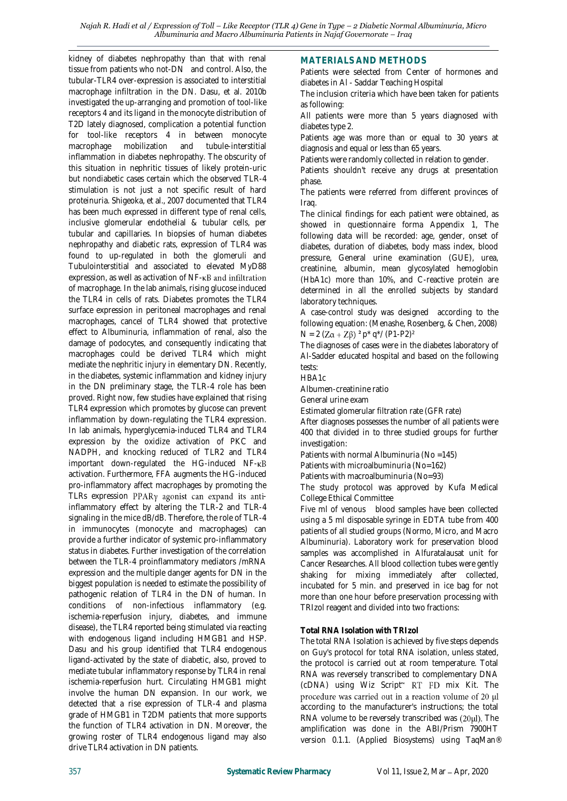kidney of diabetes nephropathy than that with renal tissue from patients who not-DN and control. Also, the tubular-TLR4 over-expression is associated to interstitial macrophage infiltration in the DN. Dasu, et al. 2010b investigated the up-arranging and promotion of tool-like receptors 4 and its ligand in the monocyte distribution of T2D lately diagnosed, complication a potential function for tool-like receptors 4 in between monocyte macrophage mobilization and tubule-interstitial inflammation in diabetes nephropathy. The obscurity of this situation in nephritic tissues of likely protein-uric but nondiabetic cases certain which the observed TLR-4 stimulation is not just a not specific result of hard proteinuria. Shigeoka, et al., 2007 documented that TLR4 has been much expressed in different type of renal cells, inclusive glomerular endothelial & tubular cells, per tubular and capillaries. In biopsies of human diabetes nephropathy and diabetic rats, expression of TLR4 was found to up-regulated in both the glomeruli and Tubulointerstitial and associated to elevated MyD88 expression, as well as activation of  $NF$ - $\kappa B$  and infiltration of macrophage. In the lab animals, rising glucose induced the TLR4 in cells of rats. Diabetes promotes the TLR4 surface expression in peritoneal macrophages and renal macrophages, cancel of TLR4 showed that protective effect to Albuminuria, inflammation of renal, also the damage of podocytes, and consequently indicating that macrophages could be derived TLR4 which might mediate the nephritic injury in elementary DN. Recently, in the diabetes, systemic inflammation and kidney injury in the DN preliminary stage, the TLR-4 role has been proved. Right now, few studies have explained that rising TLR4 expression which promotes by glucose can prevent inflammation by down-regulating the TLR4 expression. In lab animals, hyperglycemia-induced TLR4 and TLR4 expression by the oxidize activation of PKC and NADPH, and knocking reduced of TLR2 and TLR4 important down-regulated the HG-induced NF-KB activation. Furthermore, FFA augments the HG-induced pro-inflammatory affect macrophages by promoting the TLRs expression  $PPARy$  agonist can expand its antiinflammatory effect by altering the TLR-2 and TLR-4 signaling in the mice dB/dB. Therefore, the role of TLR-4 in immunocytes (monocyte and macrophages) can provide a further indicator of systemic pro-inflammatory status in diabetes. Further investigation of the correlation between the TLR-4 proinflammatory mediators /mRNA expression and the multiple danger agents for DN in the biggest population is needed to estimate the possibility of pathogenic relation of TLR4 in the DN of human. In conditions of non-infectious inflammatory (e.g. ischemia-reperfusion injury, diabetes, and immune disease), the TLR4 reported being stimulated via reacting with endogenous ligand including HMGB1 and HSP. Dasu and his group identified that TLR4 endogenous ligand-activated by the state of diabetic, also, proved to mediate tubular inflammatory response by TLR4 in renal ischemia-reperfusion hurt. Circulating HMGB1 might involve the human DN expansion. In our work, we detected that a rise expression of TLR-4 and plasma grade of HMGB1 in T2DM patients that more supports the function of TLR4 activation in DN. Moreover, the growing roster of TLR4 endogenous ligand may also drive TLR4 activation in DN patients.

#### **MATERIALS AND METHODS**

Patients were selected from Center of hormones and diabetes in Al - Saddar Teaching Hospital

The inclusion criteria which have been taken for patients as following:

All patients were more than 5 years diagnosed with diabetes type 2.

Patients age was more than or equal to 30 years at diagnosis and equal or less than 65 years.

Patients were randomly collected in relation to gender.

Patients shouldn't receive any drugs at presentation phase.

The patients were referred from different provinces of Iraq.

The clinical findings for each patient were obtained, as showed in questionnaire forma Appendix 1, The following data will be recorded: age, gender, onset of diabetes, duration of diabetes, body mass index, blood pressure, General urine examination (GUE), urea, creatinine, albumin, mean glycosylated hemoglobin (HbA1c) more than 10%, and C-reactive protein are determined in all the enrolled subjects by standard laboratory techniques.

A case-control study was designed according to the following equation: (Menashe, Rosenberg, & Chen, 2008)  $N = 2 (Z\alpha + Z\beta)^2 p^* q^* / (P1-P2)^2$ 

The diagnoses of cases were in the diabetes laboratory of Al-Sadder educated hospital and based on the following tests:

HBA1c

Albumen-creatinine ratio

General urine exam

Estimated glomerular filtration rate (GFR rate)

After diagnoses possesses the number of all patients were 400 that divided in to three studied groups for further investigation:

Patients with normal Albuminuria (No =145)

Patients with microalbuminuria (No=162)

Patients with macroalbuminuria (No=93)

The study protocol was approved by Kufa Medical College Ethical Committee

Five ml of venous blood samples have been collected using a 5 ml disposable syringe in EDTA tube from 400 patients of all studied groups (Normo, Micro, and Macro Albuminuria). Laboratory work for preservation blood samples was accomplished in Alfuratalausat unit for Cancer Researches. All blood collection tubes were gently shaking for mixing immediately after collected, incubated for 5 min. and preserved in ice bag for not more than one hour before preservation processing with TRIzol reagent and divided into two fractions:

#### **Total RNA Isolation with TRIzol**

The total RNA Isolation is achieved by five steps depends on Guy's protocol for total RNA isolation, unless stated, the protocol is carried out at room temperature. Total RNA was reversely transcribed to complementary DNA (cDNA) using Wiz Script<sup> $M$ </sup> RT FD mix Kit. The procedure was carried out in a reaction volume of 20 µl according to the manufacturer's instructions; the total RNA volume to be reversely transcribed was  $(20\mu l)$ . The amplification was done in the ABI/Prism 7900HT version 0.1.1. (Applied Biosystems) using TaqMan®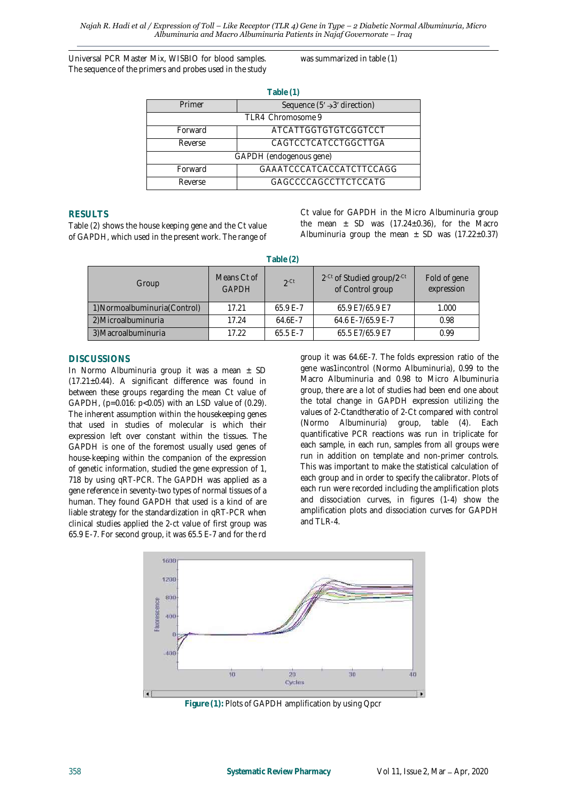Universal PCR Master Mix, WISBIO for blood samples. The sequence of the primers and probes used in the study was summarized in table (1)

| Table (1)                                          |                             |  |  |  |  |
|----------------------------------------------------|-----------------------------|--|--|--|--|
| Primer<br>Sequence $(5' \rightarrow 3'$ direction) |                             |  |  |  |  |
| TLR4 Chromosome 9                                  |                             |  |  |  |  |
| Forward                                            | <b>ATCATTGGTGTGTCGGTCCT</b> |  |  |  |  |
| Reverse                                            | CAGTCCTCATCCTGGCTTGA        |  |  |  |  |
| GAPDH (endogenous gene)                            |                             |  |  |  |  |
| Forward                                            | GAAATCCCATCACCATCTTCCAGG    |  |  |  |  |
| Reverse                                            | GAGCCCCAGCCTTCTCCATG        |  |  |  |  |

### **RESULTS**

Table (2) shows the house keeping gene and the Ct value of GAPDH, which used in the present work. The range of

Ct value for GAPDH in the Micro Albuminuria group the mean  $\pm$  SD was (17.24 $\pm$ 0.36), for the Macro Albuminuria group the mean  $\pm$  SD was (17.22 $\pm$ 0.37)

| Table (2)                     |                             |             |                                                                        |                            |  |  |  |
|-------------------------------|-----------------------------|-------------|------------------------------------------------------------------------|----------------------------|--|--|--|
| Group                         | Means Ct of<br><b>GAPDH</b> | $2$ -Ct     | 2 <sup>-Ct</sup> of Studied group/2 <sup>-Ct</sup><br>of Control group | Fold of gene<br>expression |  |  |  |
| 1) Normoalbuminuria (Control) | 17.21                       | $65.9F - 7$ | 65.9 E7/65.9 E7                                                        | 1.000                      |  |  |  |
| 2) Microalbuminuria           | 17.24                       | $64.6F - 7$ | 64.6 E-7/65.9 E-7                                                      | 0.98                       |  |  |  |
| 3) Macroalbuminuria           | 17.22                       | $65.5E - 7$ | 65.5 E7/65.9 E7                                                        | 0.99                       |  |  |  |

## **DISCUSSIONS**

In Normo Albuminuria group it was a mean  $\pm$  SD  $(17.21\pm0.44)$ . A significant difference was found in between these groups regarding the mean Ct value of GAPDH, (p=0.016: p<0.05) with an LSD value of (0.29). The inherent assumption within the housekeeping genes that used in studies of molecular is which their expression left over constant within the tissues. The GAPDH is one of the foremost usually used genes of house-keeping within the companion of the expression of genetic information, studied the gene expression of 1, 718 by using qRT-PCR. The GAPDH was applied as a gene reference in seventy-two types of normal tissues of a human. They found GAPDH that used is a kind of are liable strategy for the standardization in qRT-PCR when clinical studies applied the 2-ct value of first group was 65.9 E-7. For second group, it was 65.5 E-7 and for the rd

group it was 64.6E-7. The folds expression ratio of the gene was1incontrol (Normo Albuminuria), 0.99 to the Macro Albuminuria and 0.98 to Micro Albuminuria group, there are a lot of studies had been end one about the total change in GAPDH expression utilizing the values of 2-Ctandtheratio of 2-Ct compared with control (Normo Albuminuria) group, table (4). Each quantificative PCR reactions was run in triplicate for each sample, in each run, samples from all groups were run in addition on template and non-primer controls. This was important to make the statistical calculation of each group and in order to specify the calibrator. Plots of each run were recorded including the amplification plots and dissociation curves, in figures (1-4) show the amplification plots and dissociation curves for GAPDH and TLR-4.



**Figure (1):** Plots of GAPDH amplification by using Qpcr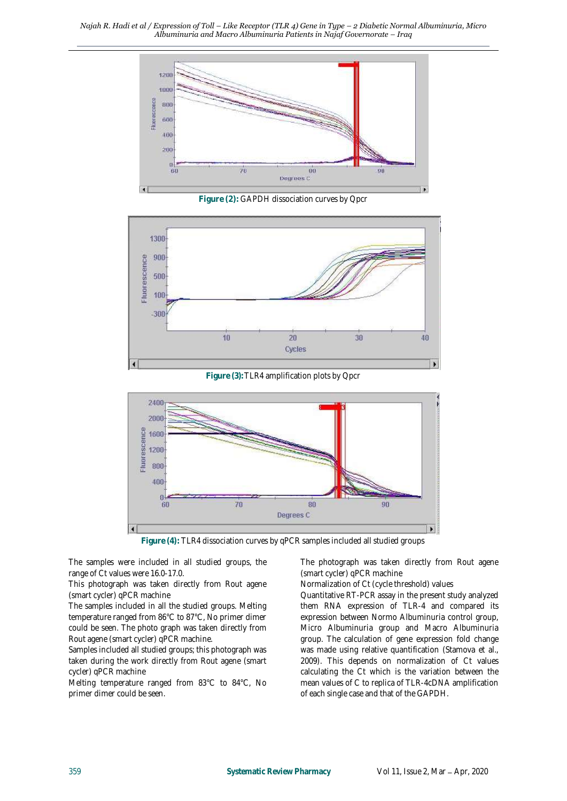

**Figure (2):** GAPDH dissociation curves by Qpcr



**Figure (3):**TLR4 amplification plots by Qpcr



**Figure (4):** TLR4 dissociation curves by qPCR samples included all studied groups

The samples were included in all studied groups, the range of Ct values were 16.0-17.0.

This photograph was taken directly from Rout agene (smart cycler) qPCR machine

The samples included in all the studied groups. Melting temperature ranged from 86°C to 87°C, No primer dimer could be seen. The photo graph was taken directly from Rout agene (smart cycler) qPCR machine.

Samples included all studied groups; this photograph was taken during the work directly from Rout agene (smart cycler) qPCR machine

Melting temperature ranged from 83°C to 84°C, No primer dimer could be seen.

The photograph was taken directly from Rout agene (smart cycler) qPCR machine

Normalization of Ct (cycle threshold) values

Quantitative RT-PCR assay in the present study analyzed them RNA expression of TLR-4 and compared its expression between Normo Albuminuria control group, Micro Albuminuria group and Macro Albuminuria group. The calculation of gene expression fold change was made using relative quantification (Stamova et al., 2009). This depends on normalization of Ct values calculating the Ct which is the variation between the mean values of C to replica of TLR-4cDNA amplification of each single case and that of the GAPDH.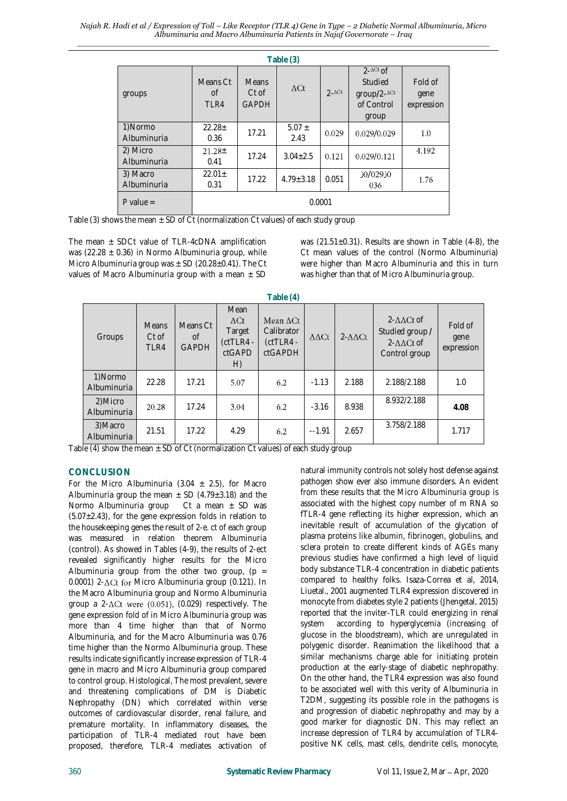| Table (3)               |                        |                                         |                    |               |                                                             |                               |  |
|-------------------------|------------------------|-----------------------------------------|--------------------|---------------|-------------------------------------------------------------|-------------------------------|--|
| groups                  | Means Ct<br>Ωf<br>TLR4 | <b>Means</b><br>$Ct$ of<br><b>GAPDH</b> | $\Delta$ Ct        | $2-\Delta Ct$ | $2-ACt$ of<br>Studied<br>group/2-ACt<br>of Control<br>group | Fold of<br>gene<br>expression |  |
| 1)Normo<br>Albuminuria  | $22.28 \pm$<br>0.36    | 17.21                                   | $5.07 \pm$<br>2.43 | 0.029         | 0.029/0.029                                                 | 1.0                           |  |
| 2) Micro<br>Albuminuria | $21.28 \pm$<br>0.41    | 17.24                                   | $3.04 \pm 2.5$     | 0.121         | 0.029/0.121                                                 | 4.192                         |  |
| 3) Macro<br>Albuminuria | $22.01 \pm$<br>0.31    | 17.22                                   | $4.79 + 3.18$      | 0.051         | 0ز029/0ز<br>036                                             | 1.76                          |  |
| P value $=$             | 0.0001                 |                                         |                    |               |                                                             |                               |  |

Table (3) shows the mean  $\pm$  SD of Ct (normalization Ct values) of each study group

The mean  $\pm$  SDCt value of TLR-4cDNA amplification was (22.28  $\pm$  0.36) in Normo Albuminuria group, while Micro Albuminuria group was  $\pm$  SD (20.28 $\pm$ 0.41). The Ct values of Macro Albuminuria group with a mean  $\pm$  SD

was ( $21.51\pm0.31$ ). Results are shown in Table (4-8), the Ct mean values of the control (Normo Albuminuria) were higher than Macro Albuminuria and this in turn was higher than that of Micro Albuminuria group.

|                         |                               |                                |                                                              | $1$ up $10$ $11$                                                |                            |                     |                                                                                      |                               |
|-------------------------|-------------------------------|--------------------------------|--------------------------------------------------------------|-----------------------------------------------------------------|----------------------------|---------------------|--------------------------------------------------------------------------------------|-------------------------------|
| Groups                  | <b>Means</b><br>Ct of<br>TLR4 | Means Ct<br>of<br><b>GAPDH</b> | Mean<br>$\Delta$ Ct<br>Target<br>$(ctTLR4 -$<br>ctGAPD<br>H) | Mean $\Delta$ Ct<br>Calibrator<br>$(ctTLR4 -$<br><b>ctGAPDH</b> | $\Delta \Delta \text{C} t$ | $2-\Delta\Delta ct$ | $2-\Delta\Delta$ Ct of<br>Studied group /<br>$2-\Delta\Delta Ct$ of<br>Control group | Fold of<br>gene<br>expression |
| 1) Normo<br>Albuminuria | 22.28                         | 17.21                          | 5.07                                                         | 6.2                                                             | $-1.13$                    | 2.188               | 2.188/2.188                                                                          | 1.0                           |
| 2) Micro<br>Albuminuria | 20.28                         | 17.24                          | 3.04                                                         | 6.2                                                             | $-3.16$                    | 8.938               | 8.932/2.188                                                                          | 4.08                          |
| 3) Macro<br>Albuminuria | 21.51                         | 17.22                          | 4.29                                                         | 6.2                                                             | $-1.91$                    | 2.657               | 3.758/2.188                                                                          | 1.717                         |

**Table (4)**

Table (4) show the mean  $\pm$  SD of Ct (normalization Ct values) of each study group

# **CONCLUSION**

For the Micro Albuminuria (3.04  $\pm$  2.5), for Macro Albuminuria group the mean  $\pm$  SD (4.79 $\pm$ 3.18) and the Normo Albuminuria group Ct a mean  $\pm$  SD was  $(5.07\pm2.43)$ , for the gene expression folds in relation to the housekeeping genes the result of 2-e. ct of each group was measured in relation theorem Albuminuria (control). As showed in Tables (4-9), the results of 2-ect revealed significantly higher results for the Micro Albuminuria group from the other two group,  $(p =$  $0.0001$ ) 2- $\Delta$ Ct for Micro Albuminuria group (0.121). In the Macro Albuminuria group and Normo Albuminuria group a 2- $\Delta$ Ct were (0.051), (0.029) respectively. The gene expression fold of in Micro Albuminuria group was more than 4 time higher than that of Normo Albuminuria, and for the Macro Albuminuria was 0.76 time higher than the Normo Albuminuria group. These results indicate significantly increase expression of TLR-4 gene in macro and Micro Albuminuria group compared to control group. Histological, The most prevalent, severe and threatening complications of DM is Diabetic Nephropathy (DN) which correlated within verse outcomes of cardiovascular disorder, renal failure, and premature mortality. In inflammatory diseases, the participation of TLR-4 mediated rout have been proposed, therefore, TLR-4 mediates activation of

natural immunity controls not solely host defense against pathogen show ever also immune disorders. An evident from these results that the Micro Albuminuria group is associated with the highest copy number of m RNA so fTLR-4 gene reflecting its higher expression, which an inevitable result of accumulation of the glycation of plasma proteins like albumin, fibrinogen, globulins, and sclera protein to create different kinds of AGEs many previous studies have confirmed a high level of liquid body substance TLR-4 concentration in diabetic patients compared to healthy folks. Isaza-Correa et al, 2014, Liuetal., 2001 augmented TLR4 expression discovered in monocyte from diabetes style 2 patients (Jhengetal, 2015) reported that the inviter-TLR could energizing in renal system according to hyperglycemia (increasing of glucose in the bloodstream), which are unregulated in polygenic disorder. Reanimation the likelihood that a similar mechanisms charge able for initiating protein production at the early-stage of diabetic nephropathy. On the other hand, the TLR4 expression was also found to be associated well with this verity of Albuminuria in T2DM, suggesting its possible role in the pathogens is and progression of diabetic nephropathy and may by a good marker for diagnostic DN. This may reflect an increase depression of TLR4 by accumulation of TLR4 positive NK cells, mast cells, dendrite cells, monocyte,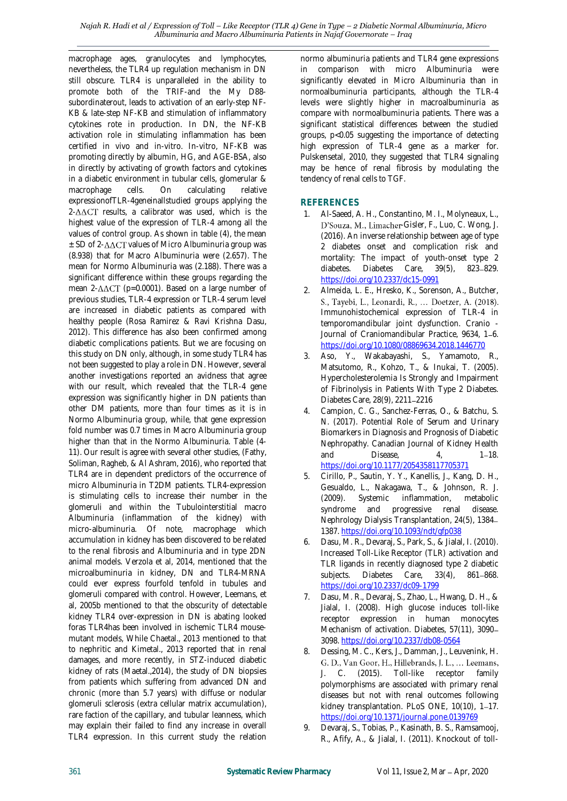macrophage ages, granulocytes and lymphocytes, nevertheless, the TLR4 up regulation mechanism in DN still obscure. TLR4 is unparalleled in the ability to promote both of the TRIF-and the My D88 subordinaterout, leads to activation of an early-step NF-KB & late-step NF-KB and stimulation of inflammatory cytokines rote in production. In DN, the NF-KB activation role in stimulating inflammation has been certified in vivo and in-vitro. In-vitro, NF-KB was promoting directly by albumin, HG, and AGE-BSA, also in directly by activating of growth factors and cytokines in a diabetic environment in tubular cells, glomerular & macrophage cells. On calculating relative expressionofTLR-4geneinallstudied groups applying the  $2-\Delta\Delta CT$  results, a calibrator was used, which is the highest value of the expression of TLR-4 among all the values of control group. As shown in table (4), the mean  $\pm$  SD of 2- $\Delta \Delta$ CT values of Micro Albuminuria group was (8.938) that for Macro Albuminuria were (2.657). The mean for Normo Albuminuria was (2.188). There was a significant difference within these groups regarding the mean  $2$ - $\triangle$  $\triangle$ CT (p=0.0001). Based on a large number of previous studies, TLR-4 expression or TLR-4 serum level are increased in diabetic patients as compared with healthy people (Rosa Ramirez & Ravi Krishna Dasu, 2012). This difference has also been confirmed among diabetic complications patients. But we are focusing on this study on DN only, although, in some study TLR4 has not been suggested to play a role in DN. However, several another investigations reported an avidness that agree with our result, which revealed that the TLR-4 gene expression was significantly higher in DN patients than other DM patients, more than four times as it is in Normo Albuminuria group, while, that gene expression fold number was 0.7 times in Macro Albuminuria group higher than that in the Normo Albuminuria. Table (4- 11). Our result is agree with several other studies, (Fathy, Soliman, Ragheb, & Al Ashram, 2016), who reported that TLR4 are in dependent predictors of the occurrence of micro Albuminuria in T2DM patients. TLR4-expression is stimulating cells to increase their number in the glomeruli and within the Tubulointerstitial macro Albuminuria (inflammation of the kidney) with micro-albuminuria. Of note, macrophage which accumulation in kidney has been discovered to be related to the renal fibrosis and Albuminuria and in type 2DN animal models. Verzola et al, 2014, mentioned that the microalbuminuria in kidney, DN and TLR4-MRNA could ever express fourfold tenfold in tubules and glomeruli compared with control. However, Leemans, et al, 2005b mentioned to that the obscurity of detectable kidney TLR4 over-expression in DN is abating looked foras TLR4has been involved in ischemic TLR4 mousemutant models, While Chaetal., 2013 mentioned to that to nephritic and Kimetal., 2013 reported that in renal damages, and more recently, in STZ-induced diabetic kidney of rats (Maetal.,2014), the study of DN biopsies from patients which suffering from advanced DN and chronic (more than 5.7 years) with diffuse or nodular glomeruli sclerosis (extra cellular matrix accumulation), rare faction of the capillary, and tubular leanness, which may explain their failed to find any increase in overall TLR4 expression. In this current study the relation

normo albuminuria patients and TLR4 gene expressions in comparison with micro Albuminuria were significantly elevated in Micro Albuminuria than in normoalbuminuria participants, although the TLR-4 levels were slightly higher in macroalbuminuria as compare with normoalbuminuria patients. There was a significant statistical differences between the studied groups, p<0.05 suggesting the importance of detecting high expression of TLR-4 gene as a marker for. Pulskensetal, 2010, they suggested that TLR4 signaling may be hence of renal fibrosis by modulating the tendency of renal cells to TGF.

## **REFERENCES**

- 1. Al-Saeed, A. H., Constantino, M. I., Molyneaux, L., D'Souza, M., Limacher-Gisler, F., Luo, C. Wong, J. (2016). An inverse relationship between age of type 2 diabetes onset and complication risk and mortality: The impact of youth-onset type 2 diabetes. Diabetes Care,  $39(5)$ , 823-829. <https://doi.org/10.2337/dc15-0991>
- 2. Almeida, L. E., Hresko, K., Sorenson, A., Butcher, S., Tayebi, L., Leonardi, R., ... Doetzer, A. (2018). Immunohistochemical expression of TLR-4 in temporomandibular joint dysfunction. Cranio - Journal of Craniomandibular Practice, 9634, 1-6. <https://doi.org/10.1080/08869634.2018.1446770>
- 3. Aso, Y., Wakabayashi, S., Yamamoto, R., Matsutomo, R., Kohzo, T., & Inukai, T. (2005). Hypercholesterolemia Is Strongly and Impairment of Fibrinolysis in Patients With Type 2 Diabetes. Diabetes Care, 28(9), 2211-2216
- 4. Campion, C. G., Sanchez-Ferras, O., & Batchu, S. N. (2017). Potential Role of Serum and Urinary Biomarkers in Diagnosis and Prognosis of Diabetic Nephropathy. Canadian Journal of Kidney Health and Disease, 4, 1-18. <https://doi.org/10.1177/2054358117705371>
- 5. Cirillo, P., Sautin, Y. Y., Kanellis, J., Kang, D. H., Gesualdo, L., Nakagawa, T., & Johnson, R. J. (2009). Systemic inflammation, metabolic syndrome and progressive renal disease. Nephrology Dialysis Transplantation, 24(5), 1384 1387[. https://doi.org/10.1093/ndt/gfp038](https://doi.org/10.1093/ndt/gfp038)
- 6. Dasu, M. R., Devaraj, S., Park, S., & Jialal, I. (2010). Increased Toll-Like Receptor (TLR) activation and TLR ligands in recently diagnosed type 2 diabetic subjects. Diabetes Care, 33(4), 861-868. <https://doi.org/10.2337/dc09-1799>
- 7. Dasu, M. R., Devaraj, S., Zhao, L., Hwang, D. H., & Jialal, I. (2008). High glucose induces toll-like receptor expression in human monocytes Mechanism of activation. Diabetes, 57(11), 3090 3098[. https://doi.org/10.2337/db08-0564](https://doi.org/10.2337/db08-0564)
- 8. Dessing, M. C., Kers, J., Damman, J., Leuvenink, H. G. D., Van Goor, H., Hillebrands, J. L., ... Leemans, J. C. (2015). Toll-like receptor family polymorphisms are associated with primary renal diseases but not with renal outcomes following kidney transplantation. PLoS ONE, 10(10), 1-17. <https://doi.org/10.1371/journal.pone.0139769>
- 9. Devaraj, S., Tobias, P., Kasinath, B. S., Ramsamooj, R., Afify, A., & Jialal, I. (2011). Knockout of toll-